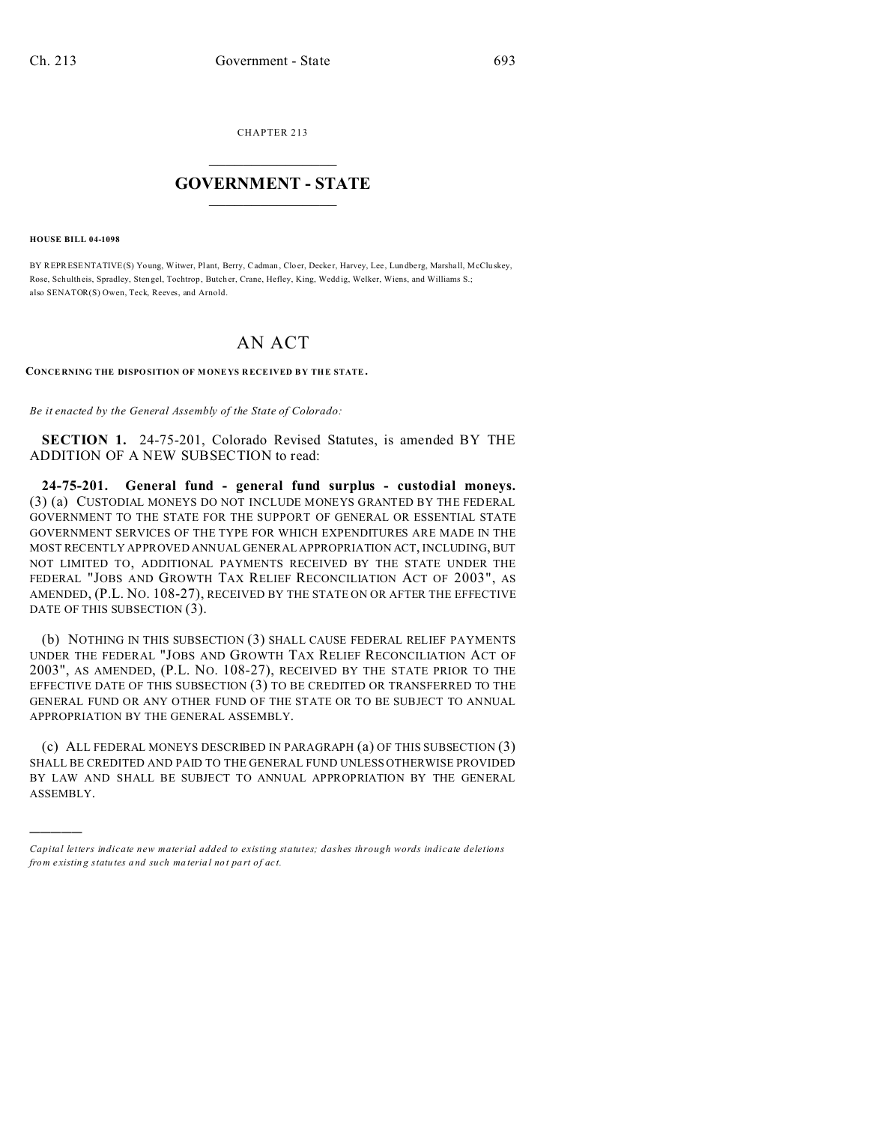CHAPTER 213  $\overline{\phantom{a}}$  , where  $\overline{\phantom{a}}$ 

## **GOVERNMENT - STATE**  $\_$   $\_$

**HOUSE BILL 04-1098**

)))))

BY REPRESENTATIVE(S) Young, Witwer, Plant, Berry, Cadman, Cloer, Decker, Harvey, Lee, Lundberg, Marshall, McCluskey, Rose, Schultheis, Spradley, Stengel, Tochtrop, Butcher, Crane, Hefley, King, Weddig, Welker, Wiens, and Williams S.; also SENATOR(S) Owen, Teck, Reeves, and Arnold.

## AN ACT

## **CONCE RNING THE DISPOSITION OF M ONE YS R ECEIVED B Y THE STATE.**

*Be it enacted by the General Assembly of the State of Colorado:*

**SECTION 1.** 24-75-201, Colorado Revised Statutes, is amended BY THE ADDITION OF A NEW SUBSECTION to read:

**24-75-201. General fund - general fund surplus - custodial moneys.** (3) (a) CUSTODIAL MONEYS DO NOT INCLUDE MONEYS GRANTED BY THE FEDERAL GOVERNMENT TO THE STATE FOR THE SUPPORT OF GENERAL OR ESSENTIAL STATE GOVERNMENT SERVICES OF THE TYPE FOR WHICH EXPENDITURES ARE MADE IN THE MOST RECENTLY APPROVED ANNUAL GENERAL APPROPRIATION ACT, INCLUDING, BUT NOT LIMITED TO, ADDITIONAL PAYMENTS RECEIVED BY THE STATE UNDER THE FEDERAL "JOBS AND GROWTH TAX RELIEF RECONCILIATION ACT OF 2003", AS AMENDED, (P.L. NO. 108-27), RECEIVED BY THE STATE ON OR AFTER THE EFFECTIVE DATE OF THIS SUBSECTION (3).

(b) NOTHING IN THIS SUBSECTION (3) SHALL CAUSE FEDERAL RELIEF PAYMENTS UNDER THE FEDERAL "JOBS AND GROWTH TAX RELIEF RECONCILIATION ACT OF 2003", AS AMENDED, (P.L. NO. 108-27), RECEIVED BY THE STATE PRIOR TO THE EFFECTIVE DATE OF THIS SUBSECTION (3) TO BE CREDITED OR TRANSFERRED TO THE GENERAL FUND OR ANY OTHER FUND OF THE STATE OR TO BE SUBJECT TO ANNUAL APPROPRIATION BY THE GENERAL ASSEMBLY.

(c) ALL FEDERAL MONEYS DESCRIBED IN PARAGRAPH (a) OF THIS SUBSECTION (3) SHALL BE CREDITED AND PAID TO THE GENERAL FUND UNLESS OTHERWISE PROVIDED BY LAW AND SHALL BE SUBJECT TO ANNUAL APPROPRIATION BY THE GENERAL ASSEMBLY.

*Capital letters indicate new material added to existing statutes; dashes through words indicate deletions from e xistin g statu tes a nd such ma teria l no t pa rt of ac t.*